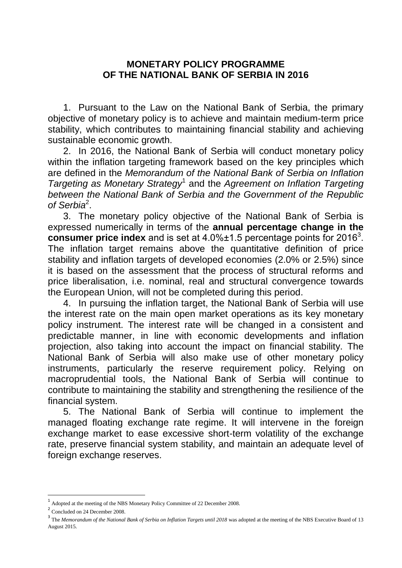## **MONETARY POLICY PROGRAMME OF THE NATIONAL BANK OF SERBIA IN 2016**

1. Pursuant to the Law on the National Bank of Serbia, the primary objective of monetary policy is to achieve and maintain medium-term price stability, which contributes to maintaining financial stability and achieving sustainable economic growth.

2. In 2016, the National Bank of Serbia will conduct monetary policy within the inflation targeting framework based on the key principles which are defined in the *Memorandum of the National Bank of Serbia on Inflation Targeting as Monetary Strategy*<sup>1</sup> and the *Agreement on Inflation Targeting between the National Bank of Serbia and the Government of the Republic of Serbia*<sup>2</sup> .

3. The monetary policy objective of the National Bank of Serbia is expressed numerically in terms of the **annual percentage change in the consumer price index** and is set at 4.0%±1.5 percentage points for 2016<sup>3</sup>. The inflation target remains above the quantitative definition of price stability and inflation targets of developed economies (2.0% or 2.5%) since it is based on the assessment that the process of structural reforms and price liberalisation, i.e. nominal, real and structural convergence towards the European Union, will not be completed during this period.

4. In pursuing the inflation target, the National Bank of Serbia will use the interest rate on the main open market operations as its key monetary policy instrument. The interest rate will be changed in a consistent and predictable manner, in line with economic developments and inflation projection, also taking into account the impact on financial stability. The National Bank of Serbia will also make use of other monetary policy instruments, particularly the reserve requirement policy. Relying on macroprudential tools, the National Bank of Serbia will continue to contribute to maintaining the stability and strengthening the resilience of the financial system.

5. The National Bank of Serbia will continue to implement the managed floating exchange rate regime. It will intervene in the foreign exchange market to ease excessive short-term volatility of the exchange rate, preserve financial system stability, and maintain an adequate level of foreign exchange reserves.

 $\overline{a}$ 

<sup>1</sup> Adopted at the meeting of the NBS Monetary Policy Committee of 22 December 2008.

<sup>&</sup>lt;sup>2</sup> Concluded on 24 December 2008.

<sup>&</sup>lt;sup>3</sup> The *Memorandum of the National Bank of Serbia on Inflation Targets until 2018* was adopted at the meeting of the NBS Executive Board of 13 August 2015.